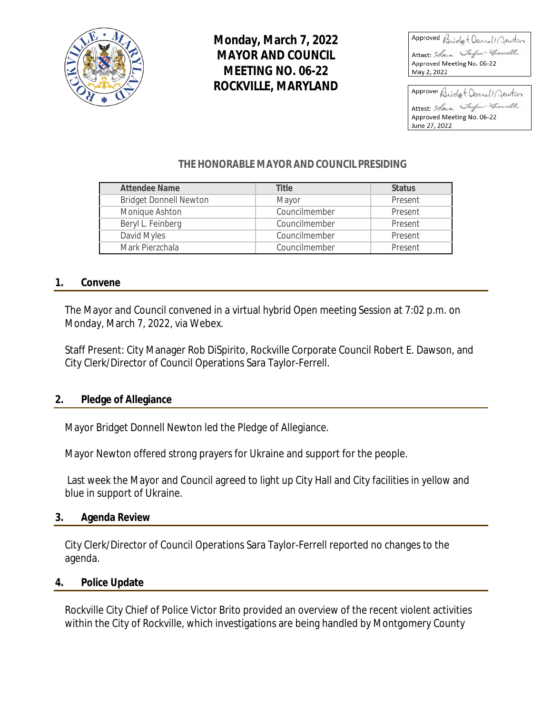

# **Monday, March 7, 2022 MAYOR AND COUNCIL MEETING NO. 06-22 ROCKVILLE, MARYLAND**

Approved Bridgt Donnell Jewton Attest: Sam Tarfor-Francell Approved Meeting No. 06-22 May 2, 2022

Approver Bridget Donnell Jewiton Attest: Shan Taylor-French Approved Meeting No. 06-22 June 27, 2022

### **THE HONORABLE MAYOR AND COUNCIL PRESIDING**

| <b>Attendee Name</b>          | <b>Title</b>  | <b>Status</b> |
|-------------------------------|---------------|---------------|
| <b>Bridget Donnell Newton</b> | Mayor         | Present       |
| Monique Ashton                | Councilmember | Present       |
| Beryl L. Feinberg             | Councilmember | Present       |
| David Myles                   | Councilmember | Present       |
| Mark Pierzchala               | Councilmember | Present       |

### **1. Convene**

The Mayor and Council convened in a virtual hybrid Open meeting Session at 7:02 p.m. on Monday, March 7, 2022, via Webex.

Staff Present: City Manager Rob DiSpirito, Rockville Corporate Council Robert E. Dawson, and City Clerk/Director of Council Operations Sara Taylor-Ferrell.

#### **2. Pledge of Allegiance**

Mayor Bridget Donnell Newton led the Pledge of Allegiance.

Mayor Newton offered strong prayers for Ukraine and support for the people.

Last week the Mayor and Council agreed to light up City Hall and City facilities in yellow and blue in support of Ukraine.

#### **3. Agenda Review**

City Clerk/Director of Council Operations Sara Taylor-Ferrell reported no changes to the agenda.

#### **4. Police Update**

Rockville City Chief of Police Victor Brito provided an overview of the recent violent activities within the City of Rockville, which investigations are being handled by Montgomery County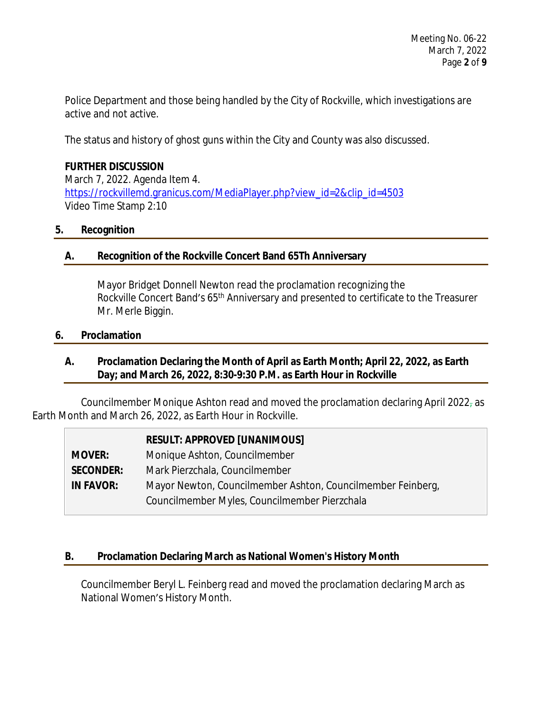Police Department and those being handled by the City of Rockville, which investigations are active and not active.

The status and history of ghost guns within the City and County was also discussed.

### **FURTHER DISCUSSION**

March 7, 2022. Agenda Item 4. [https://rockvillemd.granicus.com/MediaPlayer.php?view\\_id=2&clip\\_id=4503](https://rockvillemd.granicus.com/MediaPlayer.php?view_id=2&clip_id=4503) [Video Time Stamp 2:10](https://rockvillemd.granicus.com/MediaPlayer.php?view_id=2&clip_id=4503)

### **[5.](https://rockvillemd.granicus.com/MediaPlayer.php?view_id=2&clip_id=4503) [Recognition](https://rockvillemd.granicus.com/MediaPlayer.php?view_id=2&clip_id=4503)**

### **[A.](https://rockvillemd.granicus.com/MediaPlayer.php?view_id=2&clip_id=4503) [Recognition of the Rockville Concert Band 65Th Anniversary](https://rockvillemd.granicus.com/MediaPlayer.php?view_id=2&clip_id=4503)**

[Mayor Bridget Donnell Newton read the proclamation](https://rockvillemd.granicus.com/MediaPlayer.php?view_id=2&clip_id=4503) [recognizing the](https://rockvillemd.granicus.com/MediaPlayer.php?view_id=2&clip_id=4503)  [Rockville Concert Band](https://rockvillemd.granicus.com/MediaPlayer.php?view_id=2&clip_id=4503)['](https://rockvillemd.granicus.com/MediaPlayer.php?view_id=2&clip_id=4503)[s 65](https://rockvillemd.granicus.com/MediaPlayer.php?view_id=2&clip_id=4503)<sup>[th](https://rockvillemd.granicus.com/MediaPlayer.php?view_id=2&clip_id=4503)</sup> Anniversary and presented to certificate to the Treasurer [Mr. Merle Biggin.](https://rockvillemd.granicus.com/MediaPlayer.php?view_id=2&clip_id=4503)

#### **[6.](https://rockvillemd.granicus.com/MediaPlayer.php?view_id=2&clip_id=4503) [Proclamation](https://rockvillemd.granicus.com/MediaPlayer.php?view_id=2&clip_id=4503)**

### **[A.](https://rockvillemd.granicus.com/MediaPlayer.php?view_id=2&clip_id=4503) [Proclamation Declaring the Month of April as Earth Month; April 22, 2022, as Earth](https://rockvillemd.granicus.com/MediaPlayer.php?view_id=2&clip_id=4503)  [Day; and March 26, 2022, 8:30-9:30 P.M. as Earth Hour in Rockville](https://rockvillemd.granicus.com/MediaPlayer.php?view_id=2&clip_id=4503)**

[Councilmember Monique Ashton read and moved](https://rockvillemd.granicus.com/MediaPlayer.php?view_id=2&clip_id=4503) [the proclamation](https://rockvillemd.granicus.com/MediaPlayer.php?view_id=2&clip_id=4503) declaring April 2022 $_7$  [as](https://rockvillemd.granicus.com/MediaPlayer.php?view_id=2&clip_id=4503) [Earth Month and March 26, 2022, as Earth Hour in Rockville.](https://rockvillemd.granicus.com/MediaPlayer.php?view_id=2&clip_id=4503)

### **[RESULT: APPROVED \[UNANIMOUS\]](https://rockvillemd.granicus.com/MediaPlayer.php?view_id=2&clip_id=4503)**

**[MOVER:](https://rockvillemd.granicus.com/MediaPlayer.php?view_id=2&clip_id=4503)** [Monique Ashton, Councilmember](https://rockvillemd.granicus.com/MediaPlayer.php?view_id=2&clip_id=4503) **[SECONDER:](https://rockvillemd.granicus.com/MediaPlayer.php?view_id=2&clip_id=4503)** [Mark Pierzchala, Councilmember](https://rockvillemd.granicus.com/MediaPlayer.php?view_id=2&clip_id=4503) **[IN FAVOR:](https://rockvillemd.granicus.com/MediaPlayer.php?view_id=2&clip_id=4503)** [Mayor](https://rockvillemd.granicus.com/MediaPlayer.php?view_id=2&clip_id=4503) [Newton, Councilmember Ashton,](https://rockvillemd.granicus.com/MediaPlayer.php?view_id=2&clip_id=4503) [Councilmember Feinberg,](https://rockvillemd.granicus.com/MediaPlayer.php?view_id=2&clip_id=4503)  [Councilmember Myles, Councilmember Pierzchala](https://rockvillemd.granicus.com/MediaPlayer.php?view_id=2&clip_id=4503)

### **[B.](https://rockvillemd.granicus.com/MediaPlayer.php?view_id=2&clip_id=4503) [Proclamation Declaring March as National Women's History Month](https://rockvillemd.granicus.com/MediaPlayer.php?view_id=2&clip_id=4503)**

[Councilmember Beryl L. Feinberg read and moved](https://rockvillemd.granicus.com/MediaPlayer.php?view_id=2&clip_id=4503) [the proclamation](https://rockvillemd.granicus.com/MediaPlayer.php?view_id=2&clip_id=4503) [declaring March as](https://rockvillemd.granicus.com/MediaPlayer.php?view_id=2&clip_id=4503)  [National Women](https://rockvillemd.granicus.com/MediaPlayer.php?view_id=2&clip_id=4503)['](https://rockvillemd.granicus.com/MediaPlayer.php?view_id=2&clip_id=4503)[s History Month.](https://rockvillemd.granicus.com/MediaPlayer.php?view_id=2&clip_id=4503)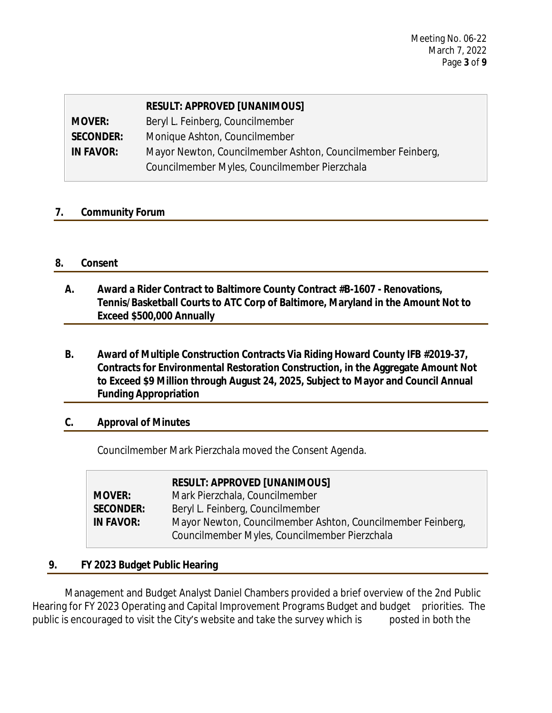|                  | <b>RESULT: APPROVED [UNANIMOUS]</b>                         |
|------------------|-------------------------------------------------------------|
| <b>MOVER:</b>    | Beryl L. Feinberg, Councilmember                            |
| <b>SECONDER:</b> | Monique Ashton, Councilmember                               |
| <b>IN FAVOR:</b> | Mayor Newton, Councilmember Ashton, Councilmember Feinberg, |
|                  | Councilmember Myles, Councilmember Pierzchala               |

### **7. Community Forum**

#### **8. Consent**

- **A. Award a Rider Contract to Baltimore County Contract #B-1607 Renovations, Tennis/Basketball Courts to ATC Corp of Baltimore, Maryland in the Amount Not to Exceed \$500,000 Annually**
- **B. Award of Multiple Construction Contracts Via Riding Howard County IFB #2019-37, Contracts for Environmental Restoration Construction, in the Aggregate Amount Not to Exceed \$9 Million through August 24, 2025, Subject to Mayor and Council Annual Funding Appropriation**

#### **C. Approval of Minutes**

Councilmember Mark Pierzchala moved the Consent Agenda.

|                  | <b>RESULT: APPROVED [UNANIMOUS]</b>                         |
|------------------|-------------------------------------------------------------|
| <b>MOVER:</b>    | Mark Pierzchala, Councilmember                              |
| <b>SECONDER:</b> | Beryl L. Feinberg, Councilmember                            |
| <b>IN FAVOR:</b> | Mayor Newton, Councilmember Ashton, Councilmember Feinberg, |
|                  | Councilmember Myles, Councilmember Pierzchala               |

### **9. FY 2023 Budget Public Hearing**

Management and Budget Analyst Daniel Chambers provided a brief overview of the 2nd Public Hearing for FY 2023 Operating and Capital Improvement Programs Budget and budget priorities. The public is encouraged to visit the City's website and take the survey which is posted in both the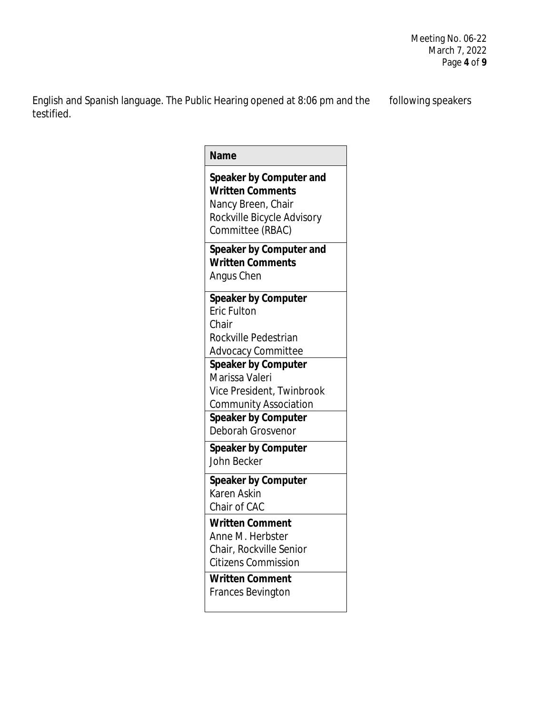English and Spanish language. The Public Hearing opened at 8:06 pm and the following speakers testified.

| <b>Name</b>                                                                                                                                                  |
|--------------------------------------------------------------------------------------------------------------------------------------------------------------|
| Speaker by Computer and<br><b>Written Comments</b><br>Nancy Breen, Chair<br>Rockville Bicycle Advisory<br>Committee (RBAC)                                   |
| Speaker by Computer and<br><b>Written Comments</b><br>Angus Chen                                                                                             |
| <b>Speaker by Computer</b><br>Eric Fulton<br>Chair<br>Rockville Pedestrian<br>Advocacy Committee                                                             |
| <b>Speaker by Computer</b><br>Marissa Valeri<br>Vice President, Twinbrook<br><b>Community Association</b><br><b>Speaker by Computer</b><br>Deborah Grosvenor |
| <b>Speaker by Computer</b><br>John Becker                                                                                                                    |
| <b>Speaker by Computer</b><br>Karen Askin<br>Chair of CAC                                                                                                    |
| <b>Written Comment</b><br>Anne M. Herbster<br>Chair, Rockville Senior<br><b>Citizens Commission</b><br><b>Written Comment</b>                                |
| <b>Frances Bevington</b>                                                                                                                                     |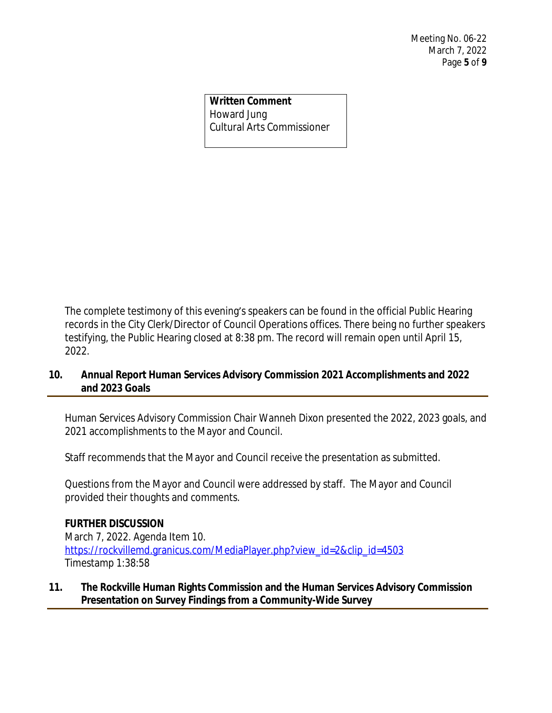**Written Comment** Howard Jung Cultural Arts Commissioner

The complete testimony of this evening's speakers can be found in the official Public Hearing records in the City Clerk/Director of Council Operations offices. There being no further speakers testifying, the Public Hearing closed at 8:38 pm. The record will remain open until April 15, 2022.

### **10. Annual Report Human Services Advisory Commission 2021 Accomplishments and 2022 and 2023 Goals**

Human Services Advisory Commission Chair Wanneh Dixon presented the 2022, 2023 goals, and 2021 accomplishments to the Mayor and Council.

Staff recommends that the Mayor and Council receive the presentation as submitted.

Questions from the Mayor and Council were addressed by staff. The Mayor and Council provided their thoughts and comments.

#### **FURTHER DISCUSSION**

March 7, 2022. Agenda Item 10. [https://rockvillemd.granicus.com/MediaPlayer.php?view\\_id=2&clip\\_id=4503](https://rockvillemd.granicus.com/MediaPlayer.php?view_id=2&clip_id=4503) [Timestamp 1:38:58](https://rockvillemd.granicus.com/MediaPlayer.php?view_id=2&clip_id=4503)

### **[11.](https://rockvillemd.granicus.com/MediaPlayer.php?view_id=2&clip_id=4503) [The Rockville Human Rights Commission and the Human Services Advisory Commission](https://rockvillemd.granicus.com/MediaPlayer.php?view_id=2&clip_id=4503)  [Presentation on Survey Findings from a Community-Wide Survey](https://rockvillemd.granicus.com/MediaPlayer.php?view_id=2&clip_id=4503)**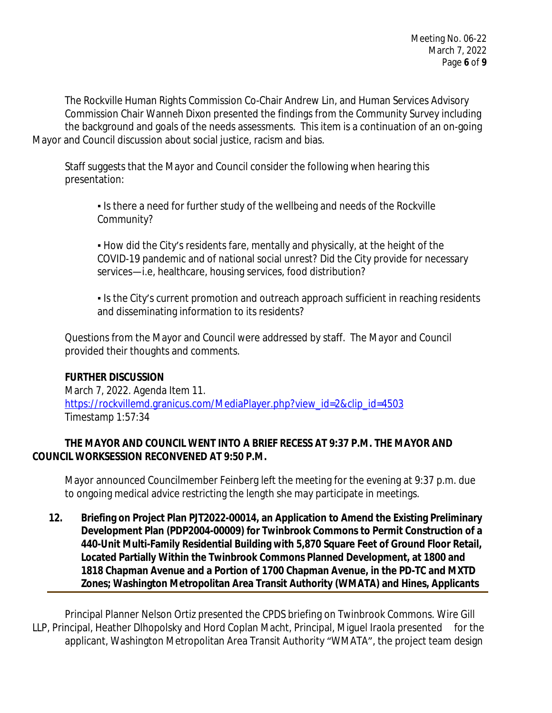The Rockville Human Rights Commission Co-Chair Andrew Lin, and Human Services Advisory Commission Chair Wanneh Dixon presented the findings from the Community Survey including the background and goals of the needs assessments. This item is a continuation of an on-going Mayor and Council discussion about social justice, racism and bias.

Staff suggests that the Mayor and Council consider the following when hearing this presentation:

▪ Is there a need for further study of the wellbeing and needs of the Rockville Community?

▪ How did the City's residents fare, mentally and physically, at the height of the COVID-19 pandemic and of national social unrest? Did the City provide for necessary services—i.e, healthcare, housing services, food distribution?

• Is the City's current promotion and outreach approach sufficient in reaching residents and disseminating information to its residents?

Questions from the Mayor and Council were addressed by staff. The Mayor and Council provided their thoughts and comments.

### **FURTHER DISCUSSION**

March 7, 2022. Agenda Item 11. [https://rockvillemd.granicus.com/MediaPlayer.php?view\\_id=2&clip\\_id=4503](https://rockvillemd.granicus.com/MediaPlayer.php?view_id=2&clip_id=4503) [Timestamp 1:57:34](https://rockvillemd.granicus.com/MediaPlayer.php?view_id=2&clip_id=4503)

### **[THE](https://rockvillemd.granicus.com/MediaPlayer.php?view_id=2&clip_id=4503) [MAYOR AND COUNCIL WENT INTO A BRIEF RECESS AT 9:37 P.M.](https://rockvillemd.granicus.com/MediaPlayer.php?view_id=2&clip_id=4503) [THE MAYOR AND](https://rockvillemd.granicus.com/MediaPlayer.php?view_id=2&clip_id=4503)  [COUNCIL WORKSESSION RECONVENED AT 9:50 P.M.](https://rockvillemd.granicus.com/MediaPlayer.php?view_id=2&clip_id=4503)**

[Mayor announced Councilmember Feinberg left the meeting for the evening at 9:37](https://rockvillemd.granicus.com/MediaPlayer.php?view_id=2&clip_id=4503) [p.m.](https://rockvillemd.granicus.com/MediaPlayer.php?view_id=2&clip_id=4503) [due](https://rockvillemd.granicus.com/MediaPlayer.php?view_id=2&clip_id=4503)  [to ongoing](https://rockvillemd.granicus.com/MediaPlayer.php?view_id=2&clip_id=4503) [medical advice](https://rockvillemd.granicus.com/MediaPlayer.php?view_id=2&clip_id=4503) [restricting the length she may participate in meetings.](https://rockvillemd.granicus.com/MediaPlayer.php?view_id=2&clip_id=4503) 

**[12.](https://rockvillemd.granicus.com/MediaPlayer.php?view_id=2&clip_id=4503) [Briefing on Project Plan PJT2022-00014, an Application to Amend the Existing Preliminary](https://rockvillemd.granicus.com/MediaPlayer.php?view_id=2&clip_id=4503)  [Development Plan \(PDP2004-00009\) for Twinbrook Commons to](https://rockvillemd.granicus.com/MediaPlayer.php?view_id=2&clip_id=4503) [Permit Construction of a](https://rockvillemd.granicus.com/MediaPlayer.php?view_id=2&clip_id=4503)  [440-Unit Multi-Family Residential Building with 5,870 Square Feet of Ground Floor Retail,](https://rockvillemd.granicus.com/MediaPlayer.php?view_id=2&clip_id=4503)  [Located Partially Within the Twinbrook Commons Planned Development, at 1800 and](https://rockvillemd.granicus.com/MediaPlayer.php?view_id=2&clip_id=4503)  [1818 Chapman Avenue and a Portion of 1700 Chapman Avenue, in](https://rockvillemd.granicus.com/MediaPlayer.php?view_id=2&clip_id=4503) [the PD-TC and MXTD](https://rockvillemd.granicus.com/MediaPlayer.php?view_id=2&clip_id=4503)  [Zones; Washington Metropolitan Area Transit Authority \(WMATA\) and Hines, Applicants](https://rockvillemd.granicus.com/MediaPlayer.php?view_id=2&clip_id=4503)**

[Principal Planner Nelson Ortiz presented the CPDS briefing on Twinbrook Commons. Wire Gill](https://rockvillemd.granicus.com/MediaPlayer.php?view_id=2&clip_id=4503) [LLP, Principal,](https://rockvillemd.granicus.com/MediaPlayer.php?view_id=2&clip_id=4503) [Heather Dlhopolsky and Hord Coplan](https://rockvillemd.granicus.com/MediaPlayer.php?view_id=2&clip_id=4503) [Macht,](https://rockvillemd.granicus.com/MediaPlayer.php?view_id=2&clip_id=4503) [Principal,](https://rockvillemd.granicus.com/MediaPlayer.php?view_id=2&clip_id=4503) Miguel Iraola presented for the [applicant, Washington Metropolitan Area Transit Authority](https://rockvillemd.granicus.com/MediaPlayer.php?view_id=2&clip_id=4503) "[WMATA](https://rockvillemd.granicus.com/MediaPlayer.php?view_id=2&clip_id=4503)"[, the project team design](https://rockvillemd.granicus.com/MediaPlayer.php?view_id=2&clip_id=4503)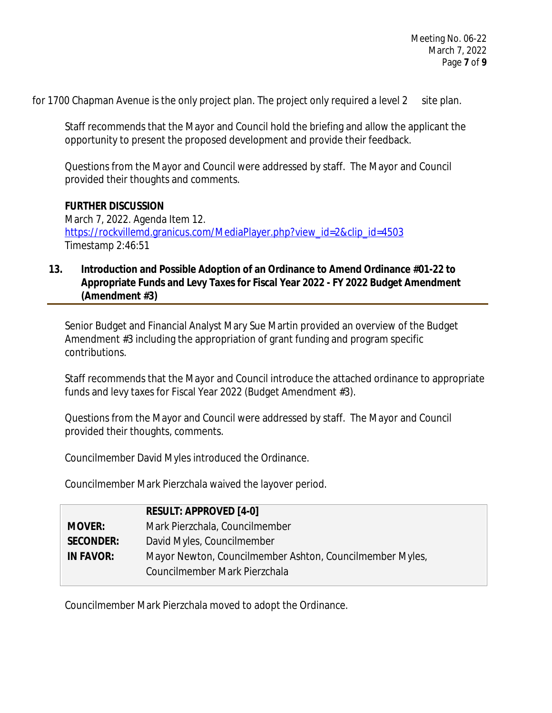for 1700 Chapman Avenue is the only project plan. The project only required a level 2 site plan.

Staff recommends that the Mayor and Council hold the briefing and allow the applicant the opportunity to present the proposed development and provide their feedback.

Questions from the Mayor and Council were addressed by staff. The Mayor and Council provided their thoughts and comments.

#### **FURTHER DISCUSSION**

March 7, 2022. Agenda Item 12. [https://rockvillemd.granicus.com/MediaPlayer.php?view\\_id=2&clip\\_id=4503](https://rockvillemd.granicus.com/MediaPlayer.php?view_id=2&clip_id=4503) [Timestamp 2:46:51](https://rockvillemd.granicus.com/MediaPlayer.php?view_id=2&clip_id=4503)

### **[13.](https://rockvillemd.granicus.com/MediaPlayer.php?view_id=2&clip_id=4503) [Introduction and Possible Adoption of an Ordinance to Amend Ordinance #01-22 to](https://rockvillemd.granicus.com/MediaPlayer.php?view_id=2&clip_id=4503) [Appropriate Funds and Levy Taxes for Fiscal Year 2022 - FY 2022 Budget Amendment](https://rockvillemd.granicus.com/MediaPlayer.php?view_id=2&clip_id=4503)  [\(Amendment #3\)](https://rockvillemd.granicus.com/MediaPlayer.php?view_id=2&clip_id=4503)**

[Senior Budget and Financial Analyst Mary Sue Martin](https://rockvillemd.granicus.com/MediaPlayer.php?view_id=2&clip_id=4503) [provided an overview](https://rockvillemd.granicus.com/MediaPlayer.php?view_id=2&clip_id=4503) [of the](https://rockvillemd.granicus.com/MediaPlayer.php?view_id=2&clip_id=4503) [Budget](https://rockvillemd.granicus.com/MediaPlayer.php?view_id=2&clip_id=4503)  [Amendment #3 including the appropriation of grant funding and program specific](https://rockvillemd.granicus.com/MediaPlayer.php?view_id=2&clip_id=4503)  [contributions.](https://rockvillemd.granicus.com/MediaPlayer.php?view_id=2&clip_id=4503) 

[Staff recommends that the Mayor and Council introduce the attached ordinance to appropriate](https://rockvillemd.granicus.com/MediaPlayer.php?view_id=2&clip_id=4503) [funds and levy taxes for Fiscal Year 2022 \(Budget Amendment #3\).](https://rockvillemd.granicus.com/MediaPlayer.php?view_id=2&clip_id=4503)

[Questions from the Mayor and Council were addressed by staff. The Mayor and Council](https://rockvillemd.granicus.com/MediaPlayer.php?view_id=2&clip_id=4503)  [provided their thoughts, comments.](https://rockvillemd.granicus.com/MediaPlayer.php?view_id=2&clip_id=4503)

[Councilmember David Myles](https://rockvillemd.granicus.com/MediaPlayer.php?view_id=2&clip_id=4503) [introduced](https://rockvillemd.granicus.com/MediaPlayer.php?view_id=2&clip_id=4503) [the Ordinance.](https://rockvillemd.granicus.com/MediaPlayer.php?view_id=2&clip_id=4503)

[Councilmember Mark Pierzchala waived the layover](https://rockvillemd.granicus.com/MediaPlayer.php?view_id=2&clip_id=4503) [period.](https://rockvillemd.granicus.com/MediaPlayer.php?view_id=2&clip_id=4503)

|                  | <b>RESULT: APPROVED [4-0]</b>                            |
|------------------|----------------------------------------------------------|
| <b>MOVER:</b>    | Mark Pierzchala, Councilmember                           |
| <b>SECONDER:</b> | David Myles, Councilmember                               |
| <b>IN FAVOR:</b> | Mayor Newton, Councilmember Ashton, Councilmember Myles, |
|                  | Councilmember Mark Pierzchala                            |

[Councilmember Mark Pierzchala moved to adopt the Ordinance.](https://rockvillemd.granicus.com/MediaPlayer.php?view_id=2&clip_id=4503)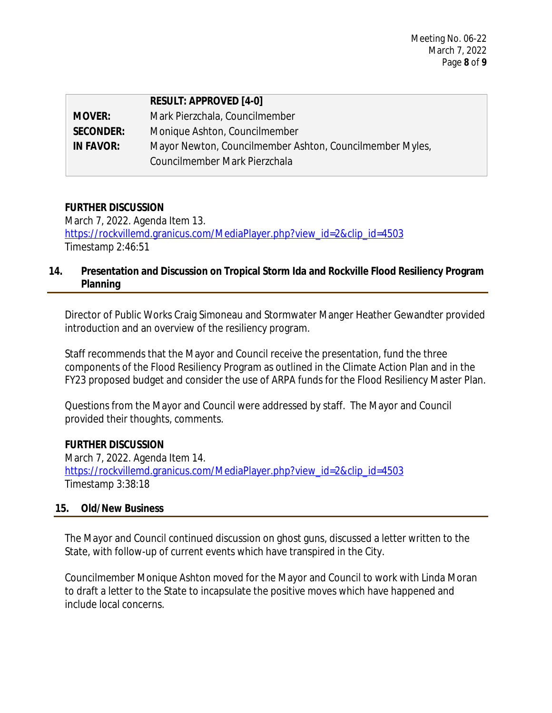|                  | <b>RESULT: APPROVED [4-0]</b>                            |
|------------------|----------------------------------------------------------|
| <b>MOVER:</b>    | Mark Pierzchala, Councilmember                           |
| <b>SECONDER:</b> | Monique Ashton, Councilmember                            |
| <b>IN FAVOR:</b> | Mayor Newton, Councilmember Ashton, Councilmember Myles, |
|                  | Councilmember Mark Pierzchala                            |

### **FURTHER DISCUSSION**

March 7, 2022. Agenda Item 13. [https://rockvillemd.granicus.com/MediaPlayer.php?view\\_id=2&clip\\_id=4503](https://rockvillemd.granicus.com/MediaPlayer.php?view_id=2&clip_id=4503) [Timestamp 2:46:51](https://rockvillemd.granicus.com/MediaPlayer.php?view_id=2&clip_id=4503)

## **[14.](https://rockvillemd.granicus.com/MediaPlayer.php?view_id=2&clip_id=4503) [Presentation and Discussion on Tropical Storm Ida and Rockville Flood Resiliency Program](https://rockvillemd.granicus.com/MediaPlayer.php?view_id=2&clip_id=4503) [Planning](https://rockvillemd.granicus.com/MediaPlayer.php?view_id=2&clip_id=4503)**

[Director of Public Works Craig](https://rockvillemd.granicus.com/MediaPlayer.php?view_id=2&clip_id=4503) [Simoneau and Stormwater Manger Heather Gewandter provided](https://rockvillemd.granicus.com/MediaPlayer.php?view_id=2&clip_id=4503) [introduction and an overview of the resiliency program.](https://rockvillemd.granicus.com/MediaPlayer.php?view_id=2&clip_id=4503) 

[Staff recommends that the Mayor and Council receive the presentation, fund the three](https://rockvillemd.granicus.com/MediaPlayer.php?view_id=2&clip_id=4503)  [components of the Flood Resiliency Program as outlined in the Climate Action Plan and in the](https://rockvillemd.granicus.com/MediaPlayer.php?view_id=2&clip_id=4503)  [FY23 proposed budget and consider the use of ARPA funds for the Flood Resiliency Master Plan.](https://rockvillemd.granicus.com/MediaPlayer.php?view_id=2&clip_id=4503)

[Questions from the Mayor and Council were addressed by staff. The Mayor and](https://rockvillemd.granicus.com/MediaPlayer.php?view_id=2&clip_id=4503) [Council](https://rockvillemd.granicus.com/MediaPlayer.php?view_id=2&clip_id=4503)  [provided their thoughts, comments.](https://rockvillemd.granicus.com/MediaPlayer.php?view_id=2&clip_id=4503)

#### **[FURTHER DISCUSSION](https://rockvillemd.granicus.com/MediaPlayer.php?view_id=2&clip_id=4503)**

[March 7, 2022. Agenda Item 14.](https://rockvillemd.granicus.com/MediaPlayer.php?view_id=2&clip_id=4503) [https://rockvillemd.granicus.com/MediaPlayer.php?view\\_id=2&clip\\_id=4503](https://rockvillemd.granicus.com/MediaPlayer.php?view_id=2&clip_id=4503) [Timestamp 3:38:18](https://rockvillemd.granicus.com/MediaPlayer.php?view_id=2&clip_id=4503)

#### **[15.](https://rockvillemd.granicus.com/MediaPlayer.php?view_id=2&clip_id=4503) [Old/New Business](https://rockvillemd.granicus.com/MediaPlayer.php?view_id=2&clip_id=4503)**

[The Mayor and Council continued discussion on ghost guns, discussed a letter written to the](https://rockvillemd.granicus.com/MediaPlayer.php?view_id=2&clip_id=4503)  [State, with follow-up of current events](https://rockvillemd.granicus.com/MediaPlayer.php?view_id=2&clip_id=4503) [which have transpired in the City.](https://rockvillemd.granicus.com/MediaPlayer.php?view_id=2&clip_id=4503)

[Councilmember Monique Ashton moved for the Mayor and Council to work with](https://rockvillemd.granicus.com/MediaPlayer.php?view_id=2&clip_id=4503) [Linda Moran](https://rockvillemd.granicus.com/MediaPlayer.php?view_id=2&clip_id=4503)  [to draft a letter to the State to incapsulate the positive](https://rockvillemd.granicus.com/MediaPlayer.php?view_id=2&clip_id=4503) [moves which have happened](https://rockvillemd.granicus.com/MediaPlayer.php?view_id=2&clip_id=4503) [and](https://rockvillemd.granicus.com/MediaPlayer.php?view_id=2&clip_id=4503)  [include local](https://rockvillemd.granicus.com/MediaPlayer.php?view_id=2&clip_id=4503) [concerns.](https://rockvillemd.granicus.com/MediaPlayer.php?view_id=2&clip_id=4503)